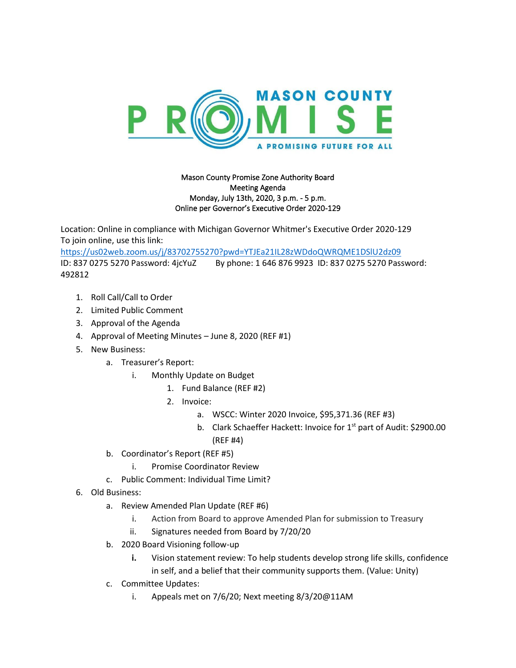

## Mason County Promise Zone Authority Board Meeting Agenda Monday, July 13th, 2020, 3 p.m. - 5 p.m. Online per Governor's Executive Order 2020-129

Location: Online in compliance with Michigan Governor Whitmer's Executive Order 2020-129 To join online, use this link:

<https://us02web.zoom.us/j/83702755270?pwd=YTJEa21IL28zWDdoQWRQME1DSlU2dz09> ID: 837 0275 5270 Password: 4jcYuZ By phone: 1 646 876 9923 ID: 837 0275 5270 Password: 492812

- 1. Roll Call/Call to Order
- 2. Limited Public Comment
- 3. Approval of the Agenda
- 4. Approval of Meeting Minutes June 8, 2020 (REF #1)
- 5. New Business:
	- a. Treasurer's Report:
		- i. Monthly Update on Budget
			- 1. Fund Balance (REF #2)
			- 2. Invoice:
				- a. WSCC: Winter 2020 Invoice, \$95,371.36 (REF #3)
				- b. Clark Schaeffer Hackett: Invoice for 1<sup>st</sup> part of Audit: \$2900.00 (REF #4)
	- b. Coordinator's Report (REF #5)
		- i. Promise Coordinator Review
	- c. Public Comment: Individual Time Limit?
- 6. Old Business:
	- a. Review Amended Plan Update (REF #6)
		- i. Action from Board to approve Amended Plan for submission to Treasury
		- ii. Signatures needed from Board by 7/20/20
	- b. 2020 Board Visioning follow-up
		- **i.** Vision statement review: To help students develop strong life skills, confidence in self, and a belief that their community supports them. (Value: Unity)
	- c. Committee Updates:
		- i. Appeals met on 7/6/20; Next meeting 8/3/20@11AM